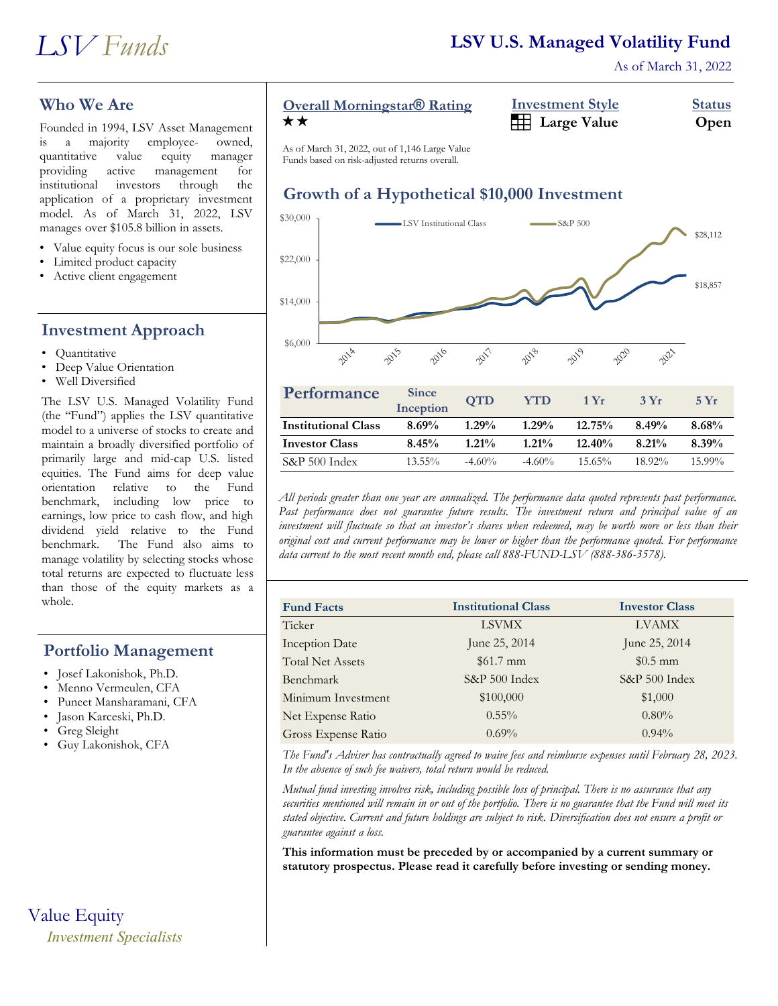

As of March 31, 2022

## **Who We Are**

Founded in 1994, LSV Asset Management<br>is a majority employee- owned, is a majority employee- owned, quantitative value equity manager providing active management for institutional investors through the application of a proprietary investment model. As of March 31, 2022, LSV manages over \$105.8 billion in assets.

- Value equity focus is our sole business
- Limited product capacity
- Active client engagement

## **Investment Approach**

- Quantitative
- Deep Value Orientation
- Well Diversified

The LSV U.S. Managed Volatility Fund (the "Fund") applies the LSV quantitative model to a universe of stocks to create and maintain a broadly diversified portfolio of primarily large and mid-cap U.S. listed equities. The Fund aims for deep value orientation relative to the Fund benchmark, including low price to earnings, low price to cash flow, and high dividend yield relative to the Fund benchmark. The Fund also aims to manage volatility by selecting stocks whose total returns are expected to fluctuate less than those of the equity markets as a whole.

### **Portfolio Management**

- Josef Lakonishok, Ph.D.
- Menno Vermeulen, CFA
- Puneet Mansharamani, CFA
- Jason Karceski, Ph.D.
- Greg Sleight
- Guy Lakonishok, CFA

Value Equity *Investment Specialists*

# **Overall Morningstar<sup>®</sup> Rating**

| <b>Overall Morningstar® Rating</b> | <b>Investment Style</b>      | <b>Status</b> |
|------------------------------------|------------------------------|---------------|
| ★★                                 | <b>Example 3</b> Large Value | Open          |

**Institutional Investor** As of March 31, 2022, out of 1,146 Large Value Funds based on risk-adjusted returns overall.

# **Growth of a Hypothetical \$10,000 Investment**



| Performance                | <b>Since</b><br>Inception | <b>OTD</b> | <b>YTD</b> | 1 Yr      | 3Yr       | 5Yr       |
|----------------------------|---------------------------|------------|------------|-----------|-----------|-----------|
| <b>Institutional Class</b> | 8.69%                     | $1.29\%$   | $1.29\%$   | 12.75%    | 8.49%     | 8.68%     |
| <b>Investor Class</b>      | 8.45%                     | $1.21\%$   | $1.21\%$   | $12.40\%$ | $8.21\%$  | 8.39%     |
| $S\&P 500$ Index           | $13.55\%$                 | $-4.60\%$  | $-4.60\%$  | $15.65\%$ | $18.92\%$ | $15.99\%$ |

*All periods greater than one year are annualized. The performance data quoted represents past performance. Past performance does not guarantee future results. The investment return and principal value of an investment will fluctuate so that an investor's shares when redeemed, may be worth more or less than their original cost and current performance may be lower or higher than the performance quoted. For performance data current to the most recent month end, please call 888-FUND-LSV (888-386-3578).*

| <b>Fund Facts</b>       | <b>Institutional Class</b> | <b>Investor Class</b> |
|-------------------------|----------------------------|-----------------------|
| Ticker                  | <b>LSVMX</b>               | <b>LVAMX</b>          |
| <b>Inception Date</b>   | June 25, 2014              | June 25, 2014         |
| <b>Total Net Assets</b> | $$61.7 \text{ mm}$         | $$0.5$ mm             |
| Benchmark               | S&P 500 Index              | S&P 500 Index         |
| Minimum Investment      | \$100,000                  | \$1,000               |
| Net Expense Ratio       | $0.55\%$                   | $0.80\%$              |
| Gross Expense Ratio     | $0.69\%$                   | $0.94\%$              |

*The Fund's Adviser has contractually agreed to waive fees and reimburse expenses until February 28, 2023. In the absence of such fee waivers, total return would be reduced.*

*Mutual fund investing involves risk, including possible loss of principal. There is no assurance that any securities mentioned will remain in or out of the portfolio. There is no guarantee that the Fund will meet its stated objective. Current and future holdings are subject to risk. Diversification does not ensure a profit or guarantee against a loss.*

**This information must be preceded by or accompanied by a current summary or statutory prospectus. Please read it carefully before investing or sending money.**